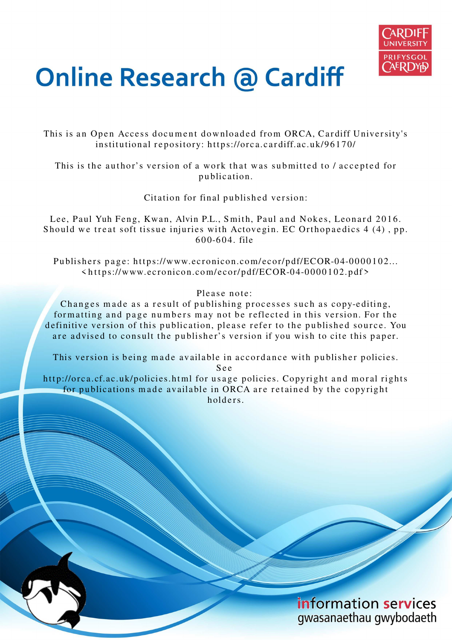

# **Online Research @ Cardiff**

This is an Open Access document downloaded from ORCA, Cardiff University's institutional repository: https://orca.cardiff.ac.uk/96170/

This is the author's version of a work that was submitted to / accepted for p u blication.

Citation for final published version:

Lee, Paul Yuh Feng, Kwan, Alvin P.L., Smith, Paul and Nokes, Leonard 2016. Should we treat soft tissue injuries with Actovegin. EC Orthopaedics 4 (4), pp.  $600 - 604$ . file

Publishers page: https://www.ecronicon.com/ecor/pdf/ECOR-04-0000102...  $\langle https://www.ecronicon.com/ecor/pdf/ECOR-04-0000102.pdf\rangle$ 

Please note:

Changes made as a result of publishing processes such as copy-editing, formatting and page numbers may not be reflected in this version. For the definitive version of this publication, please refer to the published source. You are advised to consult the publisher's version if you wish to cite this paper.

This version is being made available in accordance with publisher policies.

S e e

http://orca.cf.ac.uk/policies.html for usage policies. Copyright and moral rights for publications made available in ORCA are retained by the copyright holders.

> information services gwasanaethau gwybodaeth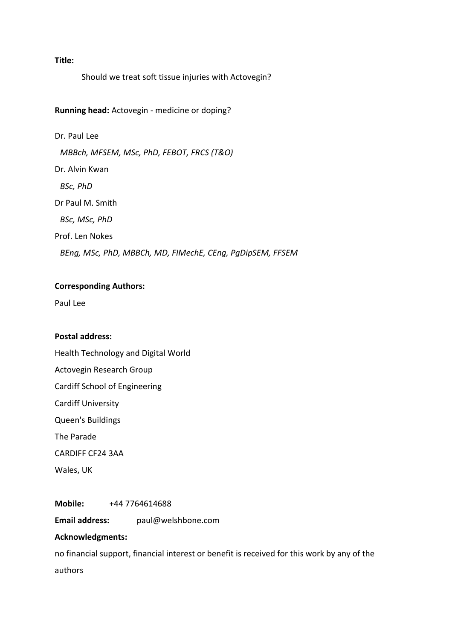# **Title:**

Should we treat soft tissue injuries with Actovegin?

# **Running head:** Actovegin - medicine or doping?

Dr. Paul Lee *MBBch, MFSEM, MSc, PhD, FEBOT, FRCS (T&O)*  Dr. Alvin Kwan  *BSc, PhD* Dr Paul M. Smith *BSc, MSc, PhD*  Prof. Len Nokes  *BEng, MSc, PhD, MBBCh, MD, FIMechE, CEng, PgDipSEM, FFSEM*

# **Corresponding Authors:**

Paul Lee

# **Postal address:**

Health Technology and Digital World Actovegin Research Group

Cardiff School of Engineering

Cardiff University

Queen's Buildings

The Parade

CARDIFF CF24 3AA

Wales, UK

**Mobile:** +44 7764614688

**Email address:** paul@welshbone.com

# **Acknowledgments:**

no financial support, financial interest or benefit is received for this work by any of the authors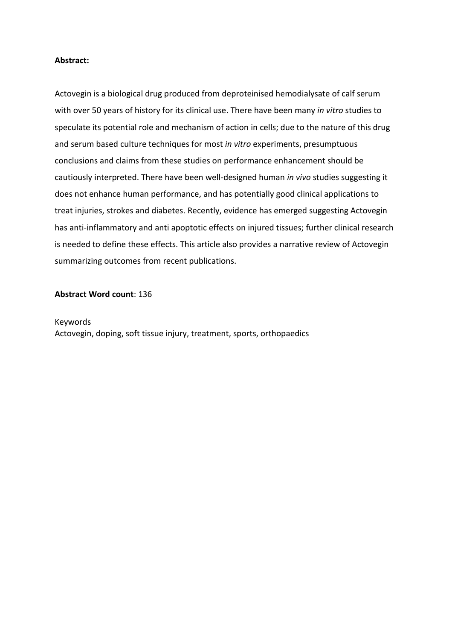# **Abstract:**

Actovegin is a biological drug produced from deproteinised hemodialysate of calf serum with over 50 years of history for its clinical use. There have been many *in vitro* studies to speculate its potential role and mechanism of action in cells; due to the nature of this drug and serum based culture techniques for most *in vitro* experiments, presumptuous conclusions and claims from these studies on performance enhancement should be cautiously interpreted. There have been well-designed human *in vivo* studies suggesting it does not enhance human performance, and has potentially good clinical applications to treat injuries, strokes and diabetes. Recently, evidence has emerged suggesting Actovegin has anti-inflammatory and anti apoptotic effects on injured tissues; further clinical research is needed to define these effects. This article also provides a narrative review of Actovegin summarizing outcomes from recent publications.

### **Abstract Word count**: 136

Keywords Actovegin, doping, soft tissue injury, treatment, sports, orthopaedics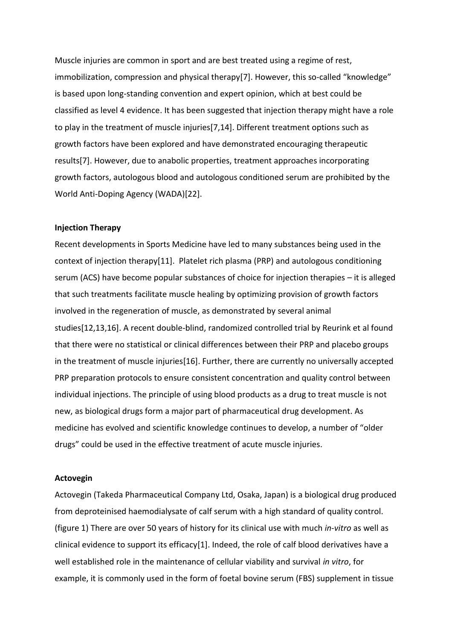Muscle injuries are common in sport and are best treated using a regime of rest, immobilization, compression and physical therapy[7]. However, this so-called "knowledge" is based upon long-standing convention and expert opinion, which at best could be classified as level 4 evidence. It has been suggested that injection therapy might have a role to play in the treatment of muscle injuries[7,14]. Different treatment options such as growth factors have been explored and have demonstrated encouraging therapeutic results[7]. However, due to anabolic properties, treatment approaches incorporating growth factors, autologous blood and autologous conditioned serum are prohibited by the World Anti-Doping Agency (WADA)[22].

#### **Injection Therapy**

Recent developments in Sports Medicine have led to many substances being used in the context of injection therapy[11]. Platelet rich plasma (PRP) and autologous conditioning serum (ACS) have become popular substances of choice for injection therapies – it is alleged that such treatments facilitate muscle healing by optimizing provision of growth factors involved in the regeneration of muscle, as demonstrated by several animal studies[12,13,16]. A recent double-blind, randomized controlled trial by Reurink et al found that there were no statistical or clinical differences between their PRP and placebo groups in the treatment of muscle injuries[16]. Further, there are currently no universally accepted PRP preparation protocols to ensure consistent concentration and quality control between individual injections. The principle of using blood products as a drug to treat muscle is not new, as biological drugs form a major part of pharmaceutical drug development. As medicine has evolved and scientific knowledge continues to develop, a number of "older drugs" could be used in the effective treatment of acute muscle injuries.

#### **Actovegin**

Actovegin (Takeda Pharmaceutical Company Ltd, Osaka, Japan) is a biological drug produced from deproteinised haemodialysate of calf serum with a high standard of quality control. (figure 1) There are over 50 years of history for its clinical use with much *in-vitro* as well as clinical evidence to support its efficacy[1]. Indeed, the role of calf blood derivatives have a well established role in the maintenance of cellular viability and survival *in vitro*, for example, it is commonly used in the form of foetal bovine serum (FBS) supplement in tissue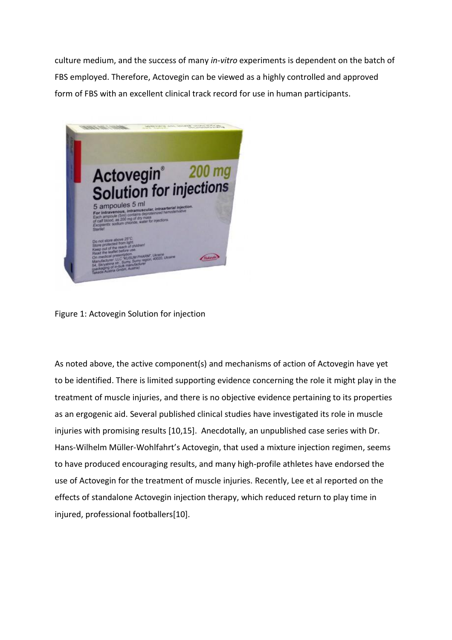culture medium, and the success of many *in-vitro* experiments is dependent on the batch of FBS employed. Therefore, Actovegin can be viewed as a highly controlled and approved form of FBS with an excellent clinical track record for use in human participants.



Figure 1: Actovegin Solution for injection

As noted above, the active component(s) and mechanisms of action of Actovegin have yet to be identified. There is limited supporting evidence concerning the role it might play in the treatment of muscle injuries, and there is no objective evidence pertaining to its properties as an ergogenic aid. Several published clinical studies have investigated its role in muscle injuries with promising results [10,15]. Anecdotally, an unpublished case series with Dr. Hans-Wilhelm Müller-Wohlfahrt's Actovegin, that used a mixture injection regimen, seems to have produced encouraging results, and many high-profile athletes have endorsed the use of Actovegin for the treatment of muscle injuries. Recently, Lee et al reported on the effects of standalone Actovegin injection therapy, which reduced return to play time in injured, professional footballers[10].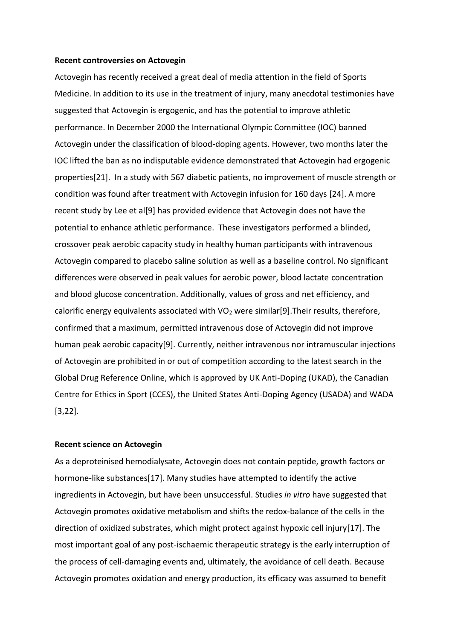#### **Recent controversies on Actovegin**

Actovegin has recently received a great deal of media attention in the field of Sports Medicine. In addition to its use in the treatment of injury, many anecdotal testimonies have suggested that Actovegin is ergogenic, and has the potential to improve athletic performance. In December 2000 the International Olympic Committee (IOC) banned Actovegin under the classification of blood-doping agents. However, two months later the IOC lifted the ban as no indisputable evidence demonstrated that Actovegin had ergogenic properties[21]. In a study with 567 diabetic patients, no improvement of muscle strength or condition was found after treatment with Actovegin infusion for 160 days [24]. A more recent study by Lee et al[9] has provided evidence that Actovegin does not have the potential to enhance athletic performance. These investigators performed a blinded, crossover peak aerobic capacity study in healthy human participants with intravenous Actovegin compared to placebo saline solution as well as a baseline control. No significant differences were observed in peak values for aerobic power, blood lactate concentration and blood glucose concentration. Additionally, values of gross and net efficiency, and calorific energy equivalents associated with  $VO<sub>2</sub>$  were similar[9]. Their results, therefore, confirmed that a maximum, permitted intravenous dose of Actovegin did not improve human peak aerobic capacity[9]. Currently, neither intravenous nor intramuscular injections of Actovegin are prohibited in or out of competition according to the latest search in the Global Drug Reference Online, which is approved by UK Anti-Doping (UKAD), the Canadian Centre for Ethics in Sport (CCES), the United States Anti-Doping Agency (USADA) and WADA [3,22].

# **Recent science on Actovegin**

As a deproteinised hemodialysate, Actovegin does not contain peptide, growth factors or hormone-like substances[17]. Many studies have attempted to identify the active ingredients in Actovegin, but have been unsuccessful. Studies *in vitro* have suggested that Actovegin promotes oxidative metabolism and shifts the redox-balance of the cells in the direction of oxidized substrates, which might protect against hypoxic cell injury[17]. The most important goal of any post-ischaemic therapeutic strategy is the early interruption of the process of cell-damaging events and, ultimately, the avoidance of cell death. Because Actovegin promotes oxidation and energy production, its efficacy was assumed to benefit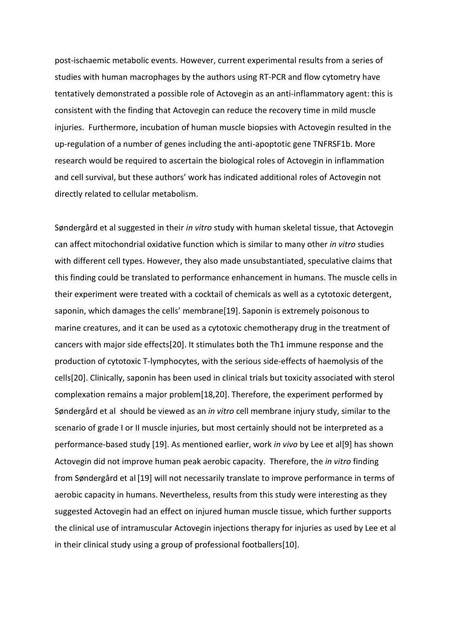post-ischaemic metabolic events. However, current experimental results from a series of studies with human macrophages by the authors using RT-PCR and flow cytometry have tentatively demonstrated a possible role of Actovegin as an anti-inflammatory agent: this is consistent with the finding that Actovegin can reduce the recovery time in mild muscle injuries. Furthermore, incubation of human muscle biopsies with Actovegin resulted in the up-regulation of a number of genes including the anti-apoptotic gene TNFRSF1b. More research would be required to ascertain the biological roles of Actovegin in inflammation and cell survival, but these authors' work has indicated additional roles of Actovegin not directly related to cellular metabolism.

Søndergård et al suggested in their *in vitro* study with human skeletal tissue, that Actovegin can affect mitochondrial oxidative function which is similar to many other *in vitro* studies with different cell types. However, they also made unsubstantiated, speculative claims that this finding could be translated to performance enhancement in humans. The muscle cells in their experiment were treated with a cocktail of chemicals as well as a cytotoxic detergent, saponin, which damages the cells' membrane[19]. Saponin is extremely poisonous to marine creatures, and it can be used as a cytotoxic chemotherapy drug in the treatment of cancers with major side effects[20]. It stimulates both the Th1 immune response and the production of cytotoxic T-lymphocytes, with the serious side-effects of haemolysis of the cells[20]. Clinically, saponin has been used in clinical trials but toxicity associated with sterol complexation remains a major problem[18,20]. Therefore, the experiment performed by Søndergård et al should be viewed as an *in vitro* cell membrane injury study, similar to the scenario of grade I or II muscle injuries, but most certainly should not be interpreted as a performance-based study [19]. As mentioned earlier, work *in vivo* by Lee et al[9] has shown Actovegin did not improve human peak aerobic capacity. Therefore, the *in vitro* finding from Søndergård et al [19] will not necessarily translate to improve performance in terms of aerobic capacity in humans. Nevertheless, results from this study were interesting as they suggested Actovegin had an effect on injured human muscle tissue, which further supports the clinical use of intramuscular Actovegin injections therapy for injuries as used by Lee et al in their clinical study using a group of professional footballers[10].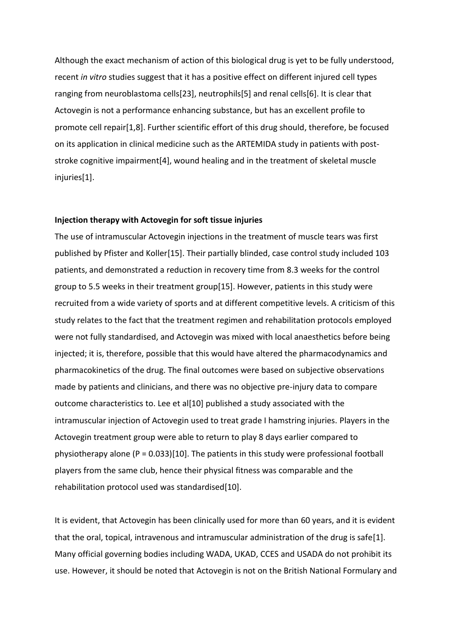Although the exact mechanism of action of this biological drug is yet to be fully understood, recent *in vitro* studies suggest that it has a positive effect on different injured cell types ranging from neuroblastoma cells[23], neutrophils[5] and renal cells[6]. It is clear that Actovegin is not a performance enhancing substance, but has an excellent profile to promote cell repair[1,8]. Further scientific effort of this drug should, therefore, be focused on its application in clinical medicine such as the ARTEMIDA study in patients with poststroke cognitive impairment[4], wound healing and in the treatment of skeletal muscle injuries[1].

# **Injection therapy with Actovegin for soft tissue injuries**

The use of intramuscular Actovegin injections in the treatment of muscle tears was first published by Pfister and Koller[15]. Their partially blinded, case control study included 103 patients, and demonstrated a reduction in recovery time from 8.3 weeks for the control group to 5.5 weeks in their treatment group[15]. However, patients in this study were recruited from a wide variety of sports and at different competitive levels. A criticism of this study relates to the fact that the treatment regimen and rehabilitation protocols employed were not fully standardised, and Actovegin was mixed with local anaesthetics before being injected; it is, therefore, possible that this would have altered the pharmacodynamics and pharmacokinetics of the drug. The final outcomes were based on subjective observations made by patients and clinicians, and there was no objective pre-injury data to compare outcome characteristics to. Lee et al[10] published a study associated with the intramuscular injection of Actovegin used to treat grade I hamstring injuries. Players in the Actovegin treatment group were able to return to play 8 days earlier compared to physiotherapy alone ( $P = 0.033$ )[10]. The patients in this study were professional football players from the same club, hence their physical fitness was comparable and the rehabilitation protocol used was standardised[10].

It is evident, that Actovegin has been clinically used for more than 60 years, and it is evident that the oral, topical, intravenous and intramuscular administration of the drug is safe[1]. Many official governing bodies including WADA, UKAD, CCES and USADA do not prohibit its use. However, it should be noted that Actovegin is not on the British National Formulary and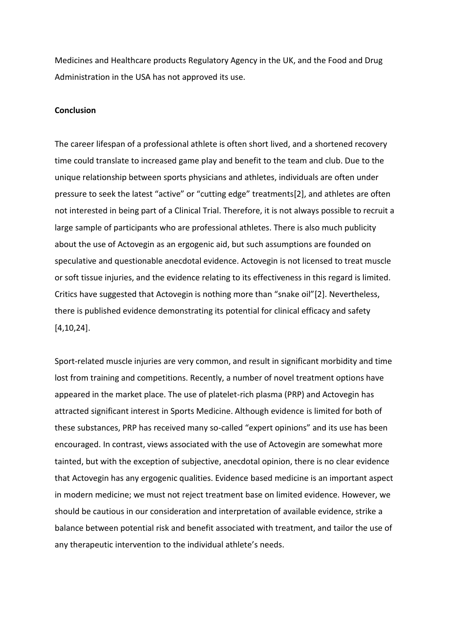Medicines and Healthcare products Regulatory Agency in the UK, and the Food and Drug Administration in the USA has not approved its use.

#### **Conclusion**

The career lifespan of a professional athlete is often short lived, and a shortened recovery time could translate to increased game play and benefit to the team and club. Due to the unique relationship between sports physicians and athletes, individuals are often under pressure to seek the latest "active" or "cutting edge" treatments[2], and athletes are often not interested in being part of a Clinical Trial. Therefore, it is not always possible to recruit a large sample of participants who are professional athletes. There is also much publicity about the use of Actovegin as an ergogenic aid, but such assumptions are founded on speculative and questionable anecdotal evidence. Actovegin is not licensed to treat muscle or soft tissue injuries, and the evidence relating to its effectiveness in this regard is limited. Critics have suggested that Actovegin is nothing more than "snake oil"[2]. Nevertheless, there is published evidence demonstrating its potential for clinical efficacy and safety [4,10,24].

Sport-related muscle injuries are very common, and result in significant morbidity and time lost from training and competitions. Recently, a number of novel treatment options have appeared in the market place. The use of platelet-rich plasma (PRP) and Actovegin has attracted significant interest in Sports Medicine. Although evidence is limited for both of these substances, PRP has received many so-called "expert opinions" and its use has been encouraged. In contrast, views associated with the use of Actovegin are somewhat more tainted, but with the exception of subjective, anecdotal opinion, there is no clear evidence that Actovegin has any ergogenic qualities. Evidence based medicine is an important aspect in modern medicine; we must not reject treatment base on limited evidence. However, we should be cautious in our consideration and interpretation of available evidence, strike a balance between potential risk and benefit associated with treatment, and tailor the use of any therapeutic intervention to the individual athlete's needs.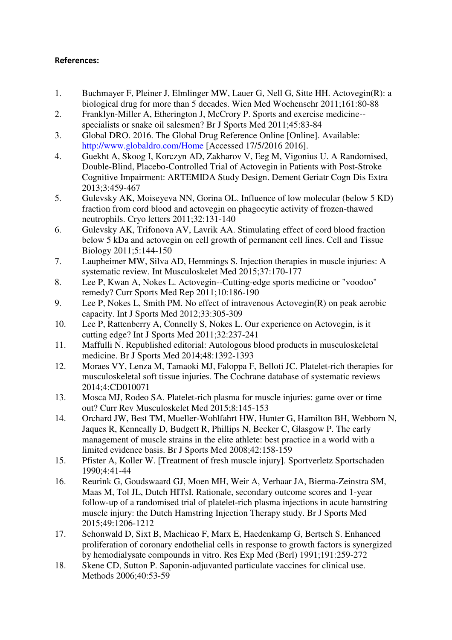# **References:**

- 1. Buchmayer F, Pleiner J, Elmlinger MW, Lauer G, Nell G, Sitte HH. Actovegin(R): a biological drug for more than 5 decades. Wien Med Wochenschr 2011;161:80-88
- 2. Franklyn-Miller A, Etherington J, McCrory P. Sports and exercise medicine- specialists or snake oil salesmen? Br J Sports Med 2011;45:83-84
- 3. Global DRO. 2016. The Global Drug Reference Online [Online]. Available: <http://www.globaldro.com/Home>[Accessed 17/5/2016 2016].
- 4. Guekht A, Skoog I, Korczyn AD, Zakharov V, Eeg M, Vigonius U. A Randomised, Double-Blind, Placebo-Controlled Trial of Actovegin in Patients with Post-Stroke Cognitive Impairment: ARTEMIDA Study Design. Dement Geriatr Cogn Dis Extra 2013;3:459-467
- 5. Gulevsky AK, Moiseyeva NN, Gorina OL. Influence of low molecular (below 5 KD) fraction from cord blood and actovegin on phagocytic activity of frozen-thawed neutrophils. Cryo letters 2011;32:131-140
- 6. Gulevsky AK, Trifonova AV, Lavrik AA. Stimulating effect of cord blood fraction below 5 kDa and actovegin on cell growth of permanent cell lines. Cell and Tissue Biology 2011;5:144-150
- 7. Laupheimer MW, Silva AD, Hemmings S. Injection therapies in muscle injuries: A systematic review. Int Musculoskelet Med 2015;37:170-177
- 8. Lee P, Kwan A, Nokes L. Actovegin--Cutting-edge sports medicine or "voodoo" remedy? Curr Sports Med Rep 2011;10:186-190
- 9. Lee P, Nokes L, Smith PM. No effect of intravenous Actovegin(R) on peak aerobic capacity. Int J Sports Med 2012;33:305-309
- 10. Lee P, Rattenberry A, Connelly S, Nokes L. Our experience on Actovegin, is it cutting edge? Int J Sports Med 2011;32:237-241
- 11. Maffulli N. Republished editorial: Autologous blood products in musculoskeletal medicine. Br J Sports Med 2014;48:1392-1393
- 12. Moraes VY, Lenza M, Tamaoki MJ, Faloppa F, Belloti JC. Platelet-rich therapies for musculoskeletal soft tissue injuries. The Cochrane database of systematic reviews 2014;4:CD010071
- 13. Mosca MJ, Rodeo SA. Platelet-rich plasma for muscle injuries: game over or time out? Curr Rev Musculoskelet Med 2015;8:145-153
- 14. Orchard JW, Best TM, Mueller-Wohlfahrt HW, Hunter G, Hamilton BH, Webborn N, Jaques R, Kenneally D, Budgett R, Phillips N, Becker C, Glasgow P. The early management of muscle strains in the elite athlete: best practice in a world with a limited evidence basis. Br J Sports Med 2008;42:158-159
- 15. Pfister A, Koller W. [Treatment of fresh muscle injury]. Sportverletz Sportschaden 1990;4:41-44
- 16. Reurink G, Goudswaard GJ, Moen MH, Weir A, Verhaar JA, Bierma-Zeinstra SM, Maas M, Tol JL, Dutch HITsI. Rationale, secondary outcome scores and 1-year follow-up of a randomised trial of platelet-rich plasma injections in acute hamstring muscle injury: the Dutch Hamstring Injection Therapy study. Br J Sports Med 2015;49:1206-1212
- 17. Schonwald D, Sixt B, Machicao F, Marx E, Haedenkamp G, Bertsch S. Enhanced proliferation of coronary endothelial cells in response to growth factors is synergized by hemodialysate compounds in vitro. Res Exp Med (Berl) 1991;191:259-272
- 18. Skene CD, Sutton P. Saponin-adjuvanted particulate vaccines for clinical use. Methods 2006;40:53-59